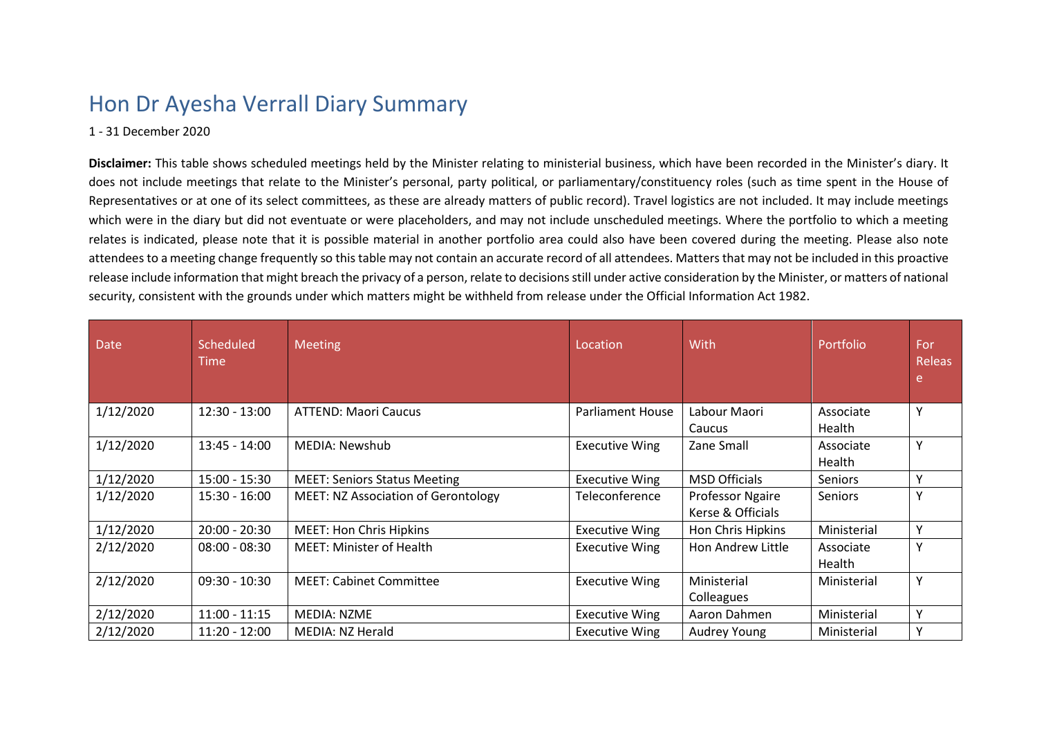## Hon Dr Ayesha Verrall Diary Summary

## 1 - 31 December 2020

**Disclaimer:** This table shows scheduled meetings held by the Minister relating to ministerial business, which have been recorded in the Minister's diary. It does not include meetings that relate to the Minister's personal, party political, or parliamentary/constituency roles (such as time spent in the House of Representatives or at one of its select committees, as these are already matters of public record). Travel logistics are not included. It may include meetings which were in the diary but did not eventuate or were placeholders, and may not include unscheduled meetings. Where the portfolio to which a meeting relates is indicated, please note that it is possible material in another portfolio area could also have been covered during the meeting. Please also note attendees to a meeting change frequently so this table may not contain an accurate record of all attendees. Matters that may not be included in this proactive release include information that might breach the privacy of a person, relate to decisions still under active consideration by the Minister, or matters of national security, consistent with the grounds under which matters might be withheld from release under the Official Information Act 1982.

| <b>Date</b> | Scheduled<br>Time | <b>Meeting</b>                             | Location                | With                                  | Portfolio           | For<br>Releas<br>e |
|-------------|-------------------|--------------------------------------------|-------------------------|---------------------------------------|---------------------|--------------------|
| 1/12/2020   | $12:30 - 13:00$   | <b>ATTEND: Maori Caucus</b>                | <b>Parliament House</b> | Labour Maori<br>Caucus                | Associate<br>Health | ν                  |
| 1/12/2020   | 13:45 - 14:00     | MEDIA: Newshub                             | <b>Executive Wing</b>   | Zane Small                            | Associate<br>Health | $\checkmark$       |
| 1/12/2020   | 15:00 - 15:30     | <b>MEET: Seniors Status Meeting</b>        | <b>Executive Wing</b>   | <b>MSD Officials</b>                  | <b>Seniors</b>      | v                  |
| 1/12/2020   | $15:30 - 16:00$   | <b>MEET: NZ Association of Gerontology</b> | Teleconference          | Professor Ngaire<br>Kerse & Officials | <b>Seniors</b>      | $\checkmark$       |
| 1/12/2020   | 20:00 - 20:30     | <b>MEET: Hon Chris Hipkins</b>             | <b>Executive Wing</b>   | Hon Chris Hipkins                     | Ministerial         | v                  |
| 2/12/2020   | $08:00 - 08:30$   | <b>MEET: Minister of Health</b>            | <b>Executive Wing</b>   | Hon Andrew Little                     | Associate<br>Health | $\checkmark$       |
| 2/12/2020   | $09:30 - 10:30$   | <b>MEET: Cabinet Committee</b>             | <b>Executive Wing</b>   | Ministerial<br>Colleagues             | Ministerial         | ν                  |
| 2/12/2020   | $11:00 - 11:15$   | <b>MEDIA: NZME</b>                         | <b>Executive Wing</b>   | Aaron Dahmen                          | Ministerial         | v                  |
| 2/12/2020   | $11:20 - 12:00$   | MEDIA: NZ Herald                           | <b>Executive Wing</b>   | Audrey Young                          | Ministerial         | ν                  |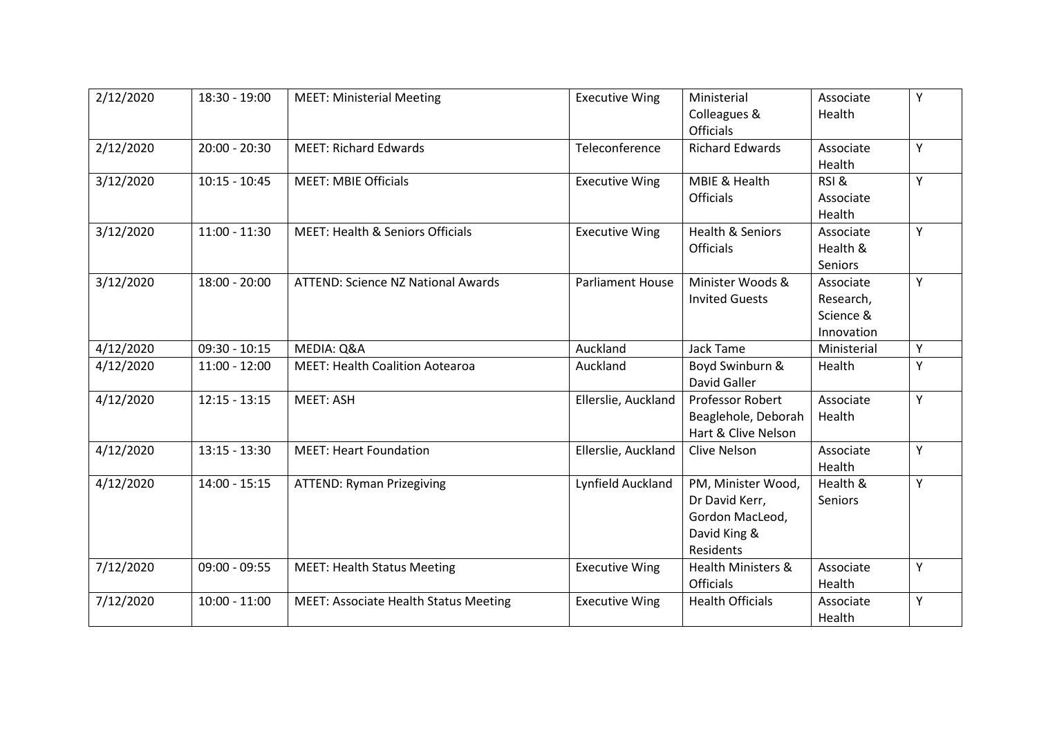| 2/12/2020 | 18:30 - 19:00   | <b>MEET: Ministerial Meeting</b>             | <b>Executive Wing</b>   | Ministerial<br>Colleagues &<br><b>Officials</b>                                      | Associate<br>Health                               | Υ |
|-----------|-----------------|----------------------------------------------|-------------------------|--------------------------------------------------------------------------------------|---------------------------------------------------|---|
| 2/12/2020 | $20:00 - 20:30$ | <b>MEET: Richard Edwards</b>                 | Teleconference          | <b>Richard Edwards</b>                                                               | Associate<br>Health                               | Y |
| 3/12/2020 | $10:15 - 10:45$ | <b>MEET: MBIE Officials</b>                  | <b>Executive Wing</b>   | MBIE & Health<br><b>Officials</b>                                                    | RSI&<br>Associate<br>Health                       | Υ |
| 3/12/2020 | $11:00 - 11:30$ | <b>MEET: Health &amp; Seniors Officials</b>  | <b>Executive Wing</b>   | <b>Health &amp; Seniors</b><br><b>Officials</b>                                      | Associate<br>Health &<br>Seniors                  | Y |
| 3/12/2020 | $18:00 - 20:00$ | <b>ATTEND: Science NZ National Awards</b>    | <b>Parliament House</b> | Minister Woods &<br><b>Invited Guests</b>                                            | Associate<br>Research,<br>Science &<br>Innovation | Υ |
| 4/12/2020 | $09:30 - 10:15$ | MEDIA: Q&A                                   | Auckland                | <b>Jack Tame</b>                                                                     | Ministerial                                       | Υ |
| 4/12/2020 | $11:00 - 12:00$ | <b>MEET: Health Coalition Aotearoa</b>       | Auckland                | Boyd Swinburn &<br>David Galler                                                      | Health                                            | Υ |
| 4/12/2020 | $12:15 - 13:15$ | <b>MEET: ASH</b>                             | Ellerslie, Auckland     | <b>Professor Robert</b><br>Beaglehole, Deborah<br>Hart & Clive Nelson                | Associate<br>Health                               | Υ |
| 4/12/2020 | $13:15 - 13:30$ | <b>MEET: Heart Foundation</b>                | Ellerslie, Auckland     | Clive Nelson                                                                         | Associate<br>Health                               | Υ |
| 4/12/2020 | $14:00 - 15:15$ | <b>ATTEND: Ryman Prizegiving</b>             | Lynfield Auckland       | PM, Minister Wood,<br>Dr David Kerr,<br>Gordon MacLeod,<br>David King &<br>Residents | Health &<br>Seniors                               | Υ |
| 7/12/2020 | $09:00 - 09:55$ | <b>MEET: Health Status Meeting</b>           | <b>Executive Wing</b>   | <b>Health Ministers &amp;</b><br><b>Officials</b>                                    | Associate<br>Health                               | Υ |
| 7/12/2020 | $10:00 - 11:00$ | <b>MEET: Associate Health Status Meeting</b> | <b>Executive Wing</b>   | <b>Health Officials</b>                                                              | Associate<br>Health                               | Υ |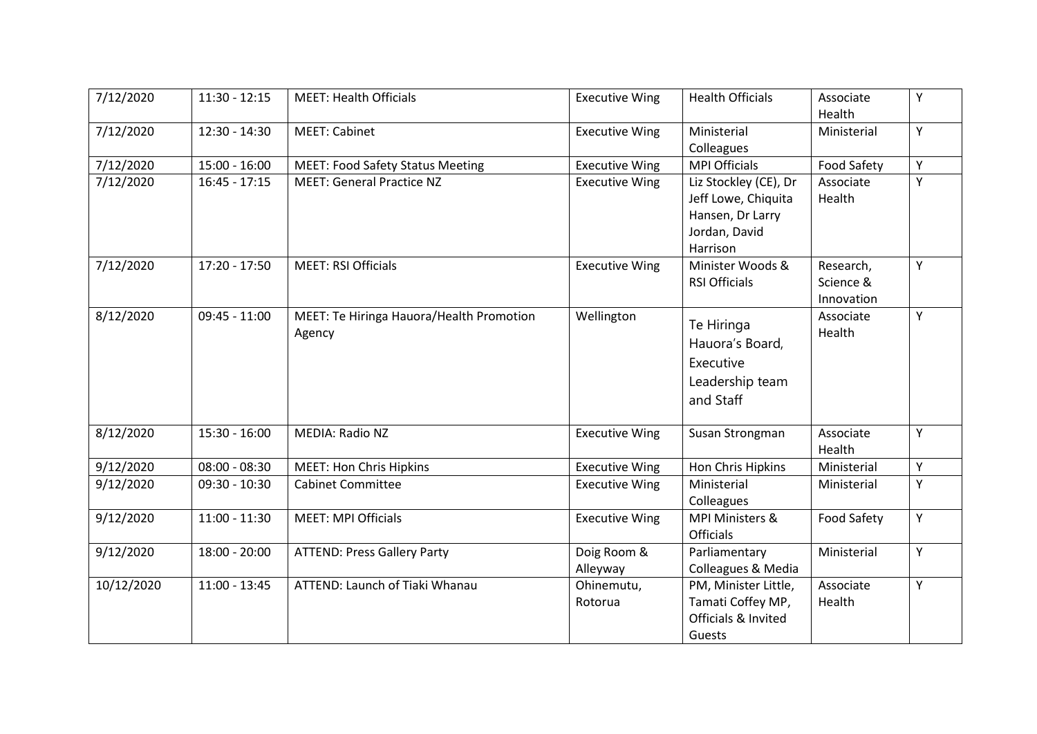| 7/12/2020  | $11:30 - 12:15$ | <b>MEET: Health Officials</b>                      | <b>Executive Wing</b>   | <b>Health Officials</b>                                                                       | Associate<br>Health                  | Υ |
|------------|-----------------|----------------------------------------------------|-------------------------|-----------------------------------------------------------------------------------------------|--------------------------------------|---|
| 7/12/2020  | 12:30 - 14:30   | <b>MEET: Cabinet</b>                               | <b>Executive Wing</b>   | Ministerial<br>Colleagues                                                                     | Ministerial                          | Y |
| 7/12/2020  | $15:00 - 16:00$ | <b>MEET: Food Safety Status Meeting</b>            | <b>Executive Wing</b>   | <b>MPI Officials</b>                                                                          | Food Safety                          | Y |
| 7/12/2020  | $16:45 - 17:15$ | <b>MEET: General Practice NZ</b>                   | <b>Executive Wing</b>   | Liz Stockley (CE), Dr<br>Jeff Lowe, Chiquita<br>Hansen, Dr Larry<br>Jordan, David<br>Harrison | Associate<br>Health                  | Y |
| 7/12/2020  | $17:20 - 17:50$ | <b>MEET: RSI Officials</b>                         | <b>Executive Wing</b>   | Minister Woods &<br><b>RSI Officials</b>                                                      | Research,<br>Science &<br>Innovation | Y |
| 8/12/2020  | $09:45 - 11:00$ | MEET: Te Hiringa Hauora/Health Promotion<br>Agency | Wellington              | Te Hiringa<br>Hauora's Board,<br>Executive<br>Leadership team<br>and Staff                    | Associate<br>Health                  | Υ |
| 8/12/2020  | $15:30 - 16:00$ | <b>MEDIA: Radio NZ</b>                             | <b>Executive Wing</b>   | Susan Strongman                                                                               | Associate<br>Health                  | Υ |
| 9/12/2020  | $08:00 - 08:30$ | <b>MEET: Hon Chris Hipkins</b>                     | <b>Executive Wing</b>   | Hon Chris Hipkins                                                                             | Ministerial                          | Υ |
| 9/12/2020  | $09:30 - 10:30$ | <b>Cabinet Committee</b>                           | <b>Executive Wing</b>   | Ministerial<br>Colleagues                                                                     | Ministerial                          | Y |
| 9/12/2020  | $11:00 - 11:30$ | <b>MEET: MPI Officials</b>                         | <b>Executive Wing</b>   | <b>MPI Ministers &amp;</b><br><b>Officials</b>                                                | <b>Food Safety</b>                   | Y |
| 9/12/2020  | $18:00 - 20:00$ | <b>ATTEND: Press Gallery Party</b>                 | Doig Room &<br>Alleyway | Parliamentary<br>Colleagues & Media                                                           | Ministerial                          | Y |
| 10/12/2020 | $11:00 - 13:45$ | ATTEND: Launch of Tiaki Whanau                     | Ohinemutu,<br>Rotorua   | PM, Minister Little,<br>Tamati Coffey MP,<br>Officials & Invited<br>Guests                    | Associate<br>Health                  | Υ |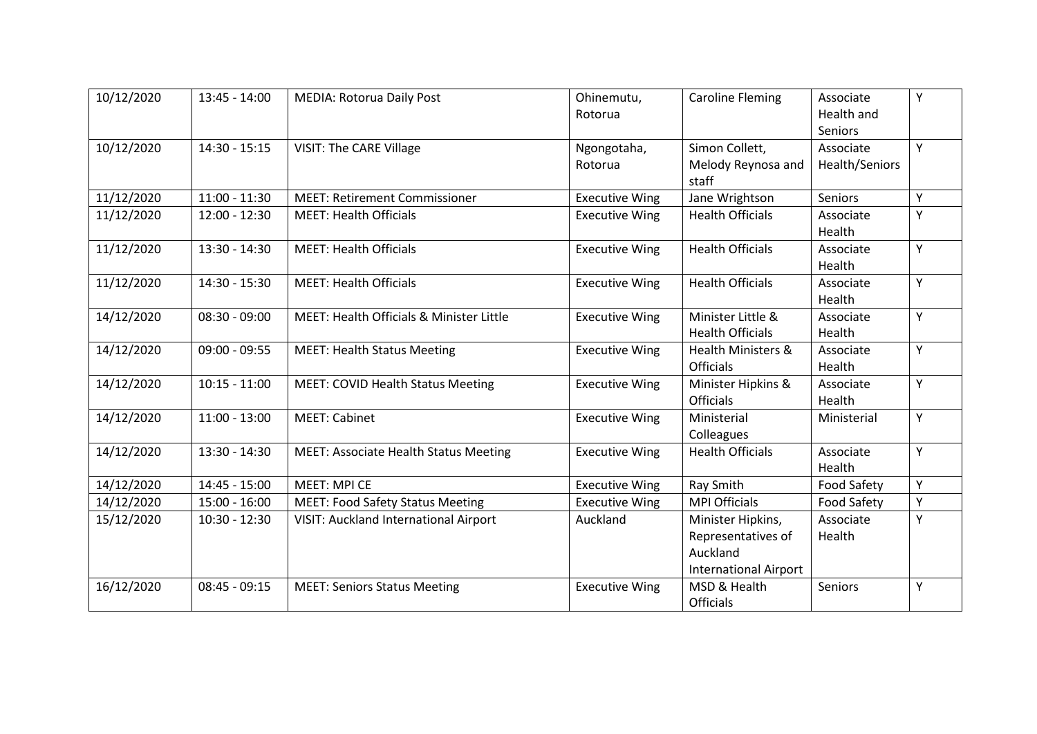| 10/12/2020 | $13:45 - 14:00$ | <b>MEDIA: Rotorua Daily Post</b>             | Ohinemutu,<br>Rotorua  | <b>Caroline Fleming</b>                                                             | Associate<br>Health and<br>Seniors | Y |
|------------|-----------------|----------------------------------------------|------------------------|-------------------------------------------------------------------------------------|------------------------------------|---|
| 10/12/2020 | $14:30 - 15:15$ | <b>VISIT: The CARE Village</b>               | Ngongotaha,<br>Rotorua | Simon Collett,<br>Melody Reynosa and<br>staff                                       | Associate<br>Health/Seniors        | Y |
| 11/12/2020 | $11:00 - 11:30$ | <b>MEET: Retirement Commissioner</b>         | <b>Executive Wing</b>  | Jane Wrightson                                                                      | Seniors                            | Υ |
| 11/12/2020 | $12:00 - 12:30$ | <b>MEET: Health Officials</b>                | <b>Executive Wing</b>  | <b>Health Officials</b>                                                             | Associate<br>Health                | Y |
| 11/12/2020 | $13:30 - 14:30$ | <b>MEET: Health Officials</b>                | <b>Executive Wing</b>  | <b>Health Officials</b>                                                             | Associate<br>Health                | Y |
| 11/12/2020 | $14:30 - 15:30$ | <b>MEET: Health Officials</b>                | <b>Executive Wing</b>  | <b>Health Officials</b>                                                             | Associate<br>Health                | Y |
| 14/12/2020 | $08:30 - 09:00$ | MEET: Health Officials & Minister Little     | <b>Executive Wing</b>  | Minister Little &<br><b>Health Officials</b>                                        | Associate<br>Health                | Y |
| 14/12/2020 | $09:00 - 09:55$ | <b>MEET: Health Status Meeting</b>           | <b>Executive Wing</b>  | <b>Health Ministers &amp;</b><br><b>Officials</b>                                   | Associate<br>Health                | Y |
| 14/12/2020 | $10:15 - 11:00$ | <b>MEET: COVID Health Status Meeting</b>     | <b>Executive Wing</b>  | Minister Hipkins &<br><b>Officials</b>                                              | Associate<br>Health                | Υ |
| 14/12/2020 | $11:00 - 13:00$ | <b>MEET: Cabinet</b>                         | <b>Executive Wing</b>  | Ministerial<br>Colleagues                                                           | Ministerial                        | Y |
| 14/12/2020 | $13:30 - 14:30$ | <b>MEET: Associate Health Status Meeting</b> | <b>Executive Wing</b>  | <b>Health Officials</b>                                                             | Associate<br>Health                | Y |
| 14/12/2020 | $14:45 - 15:00$ | <b>MEET: MPI CE</b>                          | <b>Executive Wing</b>  | Ray Smith                                                                           | Food Safety                        | Y |
| 14/12/2020 | $15:00 - 16:00$ | <b>MEET: Food Safety Status Meeting</b>      | <b>Executive Wing</b>  | <b>MPI Officials</b>                                                                | Food Safety                        | Y |
| 15/12/2020 | $10:30 - 12:30$ | <b>VISIT: Auckland International Airport</b> | Auckland               | Minister Hipkins,<br>Representatives of<br>Auckland<br><b>International Airport</b> | Associate<br>Health                | Y |
| 16/12/2020 | $08:45 - 09:15$ | <b>MEET: Seniors Status Meeting</b>          | <b>Executive Wing</b>  | MSD & Health<br><b>Officials</b>                                                    | Seniors                            | Y |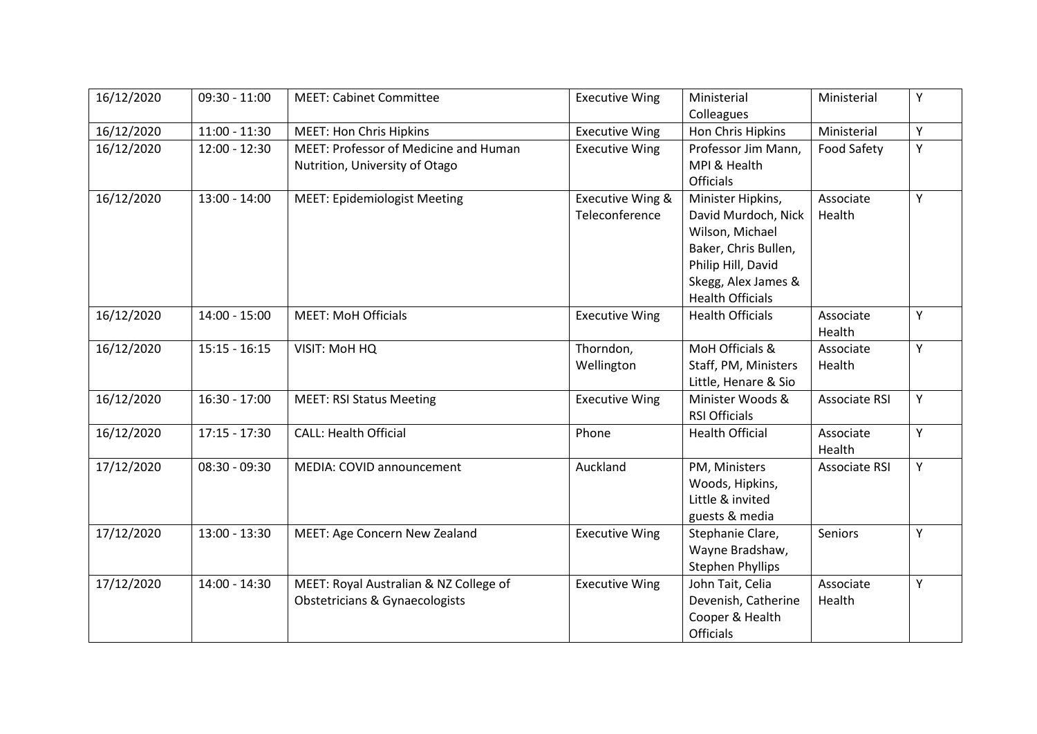| 16/12/2020 | $09:30 - 11:00$ | <b>MEET: Cabinet Committee</b>                                           | <b>Executive Wing</b>              | Ministerial<br>Colleagues                                                                                                                                   | Ministerial          | Υ |
|------------|-----------------|--------------------------------------------------------------------------|------------------------------------|-------------------------------------------------------------------------------------------------------------------------------------------------------------|----------------------|---|
| 16/12/2020 | $11:00 - 11:30$ | <b>MEET: Hon Chris Hipkins</b>                                           | <b>Executive Wing</b>              | Hon Chris Hipkins                                                                                                                                           | Ministerial          | Y |
| 16/12/2020 | $12:00 - 12:30$ | MEET: Professor of Medicine and Human<br>Nutrition, University of Otago  | <b>Executive Wing</b>              | Professor Jim Mann,<br>MPI & Health<br><b>Officials</b>                                                                                                     | Food Safety          | Y |
| 16/12/2020 | $13:00 - 14:00$ | <b>MEET: Epidemiologist Meeting</b>                                      | Executive Wing &<br>Teleconference | Minister Hipkins,<br>David Murdoch, Nick<br>Wilson, Michael<br>Baker, Chris Bullen,<br>Philip Hill, David<br>Skegg, Alex James &<br><b>Health Officials</b> | Associate<br>Health  | Y |
| 16/12/2020 | $14:00 - 15:00$ | <b>MEET: MoH Officials</b>                                               | <b>Executive Wing</b>              | <b>Health Officials</b>                                                                                                                                     | Associate<br>Health  | Y |
| 16/12/2020 | $15:15 - 16:15$ | VISIT: MoH HQ                                                            | Thorndon,<br>Wellington            | MoH Officials &<br>Staff, PM, Ministers<br>Little, Henare & Sio                                                                                             | Associate<br>Health  | Y |
| 16/12/2020 | $16:30 - 17:00$ | <b>MEET: RSI Status Meeting</b>                                          | <b>Executive Wing</b>              | Minister Woods &<br><b>RSI Officials</b>                                                                                                                    | <b>Associate RSI</b> | Y |
| 16/12/2020 | $17:15 - 17:30$ | <b>CALL: Health Official</b>                                             | Phone                              | <b>Health Official</b>                                                                                                                                      | Associate<br>Health  | Y |
| 17/12/2020 | $08:30 - 09:30$ | MEDIA: COVID announcement                                                | Auckland                           | PM, Ministers<br>Woods, Hipkins,<br>Little & invited<br>guests & media                                                                                      | <b>Associate RSI</b> | Y |
| 17/12/2020 | $13:00 - 13:30$ | MEET: Age Concern New Zealand                                            | <b>Executive Wing</b>              | Stephanie Clare,<br>Wayne Bradshaw,<br><b>Stephen Phyllips</b>                                                                                              | <b>Seniors</b>       | Y |
| 17/12/2020 | 14:00 - 14:30   | MEET: Royal Australian & NZ College of<br>Obstetricians & Gynaecologists | <b>Executive Wing</b>              | John Tait, Celia<br>Devenish, Catherine<br>Cooper & Health<br><b>Officials</b>                                                                              | Associate<br>Health  | Y |